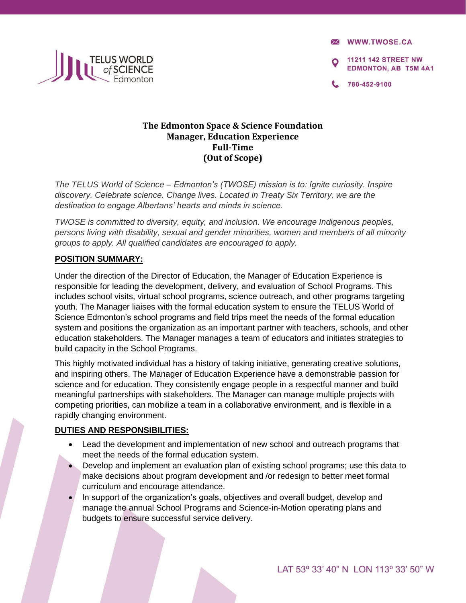WWW.TWOSE.CA

**11211 142 STREET NW EDMONTON, AB T5M 4A1** 

780-452-9100



*The TELUS World of Science – Edmonton's (TWOSE) mission is to: Ignite curiosity. Inspire discovery. Celebrate science. Change lives. Located in Treaty Six Territory, we are the destination to engage Albertans' hearts and minds in science.* 

*TWOSE is committed to diversity, equity, and inclusion. We encourage Indigenous peoples, persons living with disability, sexual and gender minorities, women and members of all minority groups to apply. All qualified candidates are encouraged to apply.* 

### **POSITION SUMMARY:**

**TELUS WORLD**<br>**I** of SCIENCE

Under the direction of the Director of Education, the Manager of Education Experience is responsible for leading the development, delivery, and evaluation of School Programs. This includes school visits, virtual school programs, science outreach, and other programs targeting youth. The Manager liaises with the formal education system to ensure the TELUS World of Science Edmonton's school programs and field trips meet the needs of the formal education system and positions the organization as an important partner with teachers, schools, and other education stakeholders. The Manager manages a team of educators and initiates strategies to build capacity in the School Programs.

This highly motivated individual has a history of taking initiative, generating creative solutions, and inspiring others. The Manager of Education Experience have a demonstrable passion for science and for education. They consistently engage people in a respectful manner and build meaningful partnerships with stakeholders. The Manager can manage multiple projects with competing priorities, can mobilize a team in a collaborative environment, and is flexible in a rapidly changing environment.

## **DUTIES AND RESPONSIBILITIES:**

- Lead the development and implementation of new school and outreach programs that meet the needs of the formal education system.
- Develop and implement an evaluation plan of existing school programs; use this data to make decisions about program development and /or redesign to better meet formal curriculum and encourage attendance.
- In support of the organization's goals, objectives and overall budget, develop and manage the annual School Programs and Science-in-Motion operating plans and budgets to ensure successful service delivery.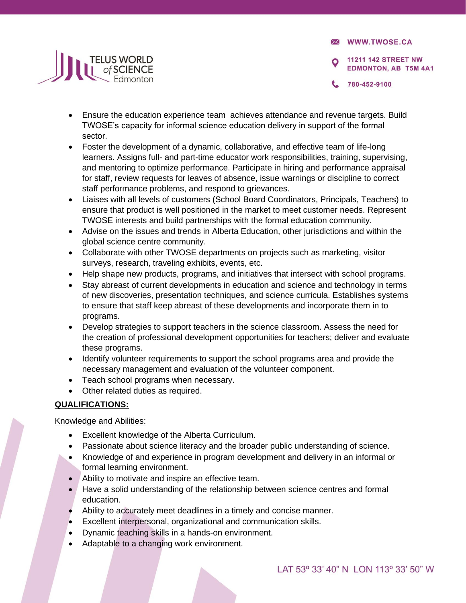**X WWW.TWOSE.CA 11211 142 STREET NW EDMONTON, AB T5M 4A1** 

780-452-9100



- Ensure the education experience team achieves attendance and revenue targets. Build TWOSE's capacity for informal science education delivery in support of the formal sector.
- Foster the development of a dynamic, collaborative, and effective team of life-long learners. Assigns full- and part-time educator work responsibilities, training, supervising, and mentoring to optimize performance. Participate in hiring and performance appraisal for staff, review requests for leaves of absence, issue warnings or discipline to correct staff performance problems, and respond to grievances.
- Liaises with all levels of customers (School Board Coordinators, Principals, Teachers) to ensure that product is well positioned in the market to meet customer needs. Represent TWOSE interests and build partnerships with the formal education community.
- Advise on the issues and trends in Alberta Education, other jurisdictions and within the global science centre community.
- Collaborate with other TWOSE departments on projects such as marketing, visitor surveys, research, traveling exhibits, events, etc.
- Help shape new products, programs, and initiatives that intersect with school programs.
- Stay abreast of current developments in education and science and technology in terms of new discoveries, presentation techniques, and science curricula. Establishes systems to ensure that staff keep abreast of these developments and incorporate them in to programs.
- Develop strategies to support teachers in the science classroom. Assess the need for the creation of professional development opportunities for teachers; deliver and evaluate these programs.
- Identify volunteer requirements to support the school programs area and provide the necessary management and evaluation of the volunteer component.
- Teach school programs when necessary.
- Other related duties as required.

# **QUALIFICATIONS:**

Knowledge and Abilities:

- Excellent knowledge of the Alberta Curriculum.
- Passionate about science literacy and the broader public understanding of science.
- Knowledge of and experience in program development and delivery in an informal or formal learning environment.
- Ability to motivate and inspire an effective team.
- Have a solid understanding of the relationship between science centres and formal education.
- Ability to accurately meet deadlines in a timely and concise manner.
- Excellent interpersonal, organizational and communication skills.
- Dynamic teaching skills in a hands-on environment.
- Adaptable to a changing work environment.